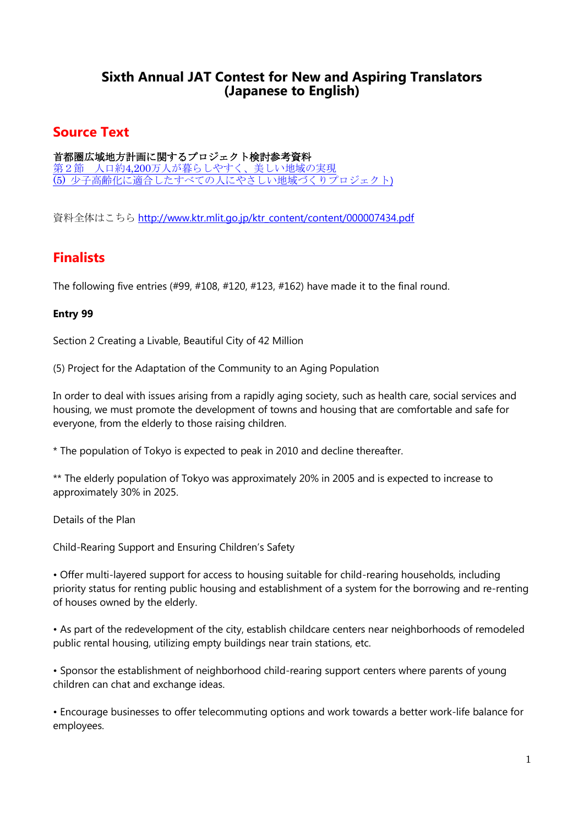## **Sixth Annual JAT Contest for New and Aspiring Translators (Japanese to English)**

# **Source Text**

首都圏広域地方計画に関するプロジェクト検討参考資料 第2節 人口約4,200[万人が暮らしやすく、美しい地域の実現](http://assets.jat.org/documents/2009_JAT_contest_source_text.pdf) (5) [少子高齢化に適合したすべての人にやさしい地域づくりプロジェクト](http://assets.jat.org/documents/2009_JAT_contest_source_text.pdf))

資料全体はこちら [http://www.ktr.mlit.go.jp/ktr\\_content/content/000007434.pdf](http://www.ktr.mlit.go.jp/ktr_content/content/000007434.pdf)

# **Finalists**

The following five entries  $(499, 4108, 4120, 4123, 4162)$  have made it to the final round.

## **Entry 99**

Section 2 Creating a Livable, Beautiful City of 42 Million

(5) Project for the Adaptation of the Community to an Aging Population

In order to deal with issues arising from a rapidly aging society, such as health care, social services and housing, we must promote the development of towns and housing that are comfortable and safe for everyone, from the elderly to those raising children.

\* The population of Tokyo is expected to peak in 2010 and decline thereafter.

\*\* The elderly population of Tokyo was approximately 20% in 2005 and is expected to increase to approximately 30% in 2025.

Details of the Plan

Child-Rearing Support and Ensuring Children's Safety

• Offer multi-layered support for access to housing suitable for child-rearing households, including priority status for renting public housing and establishment of a system for the borrowing and re-renting of houses owned by the elderly.

• As part of the redevelopment of the city, establish childcare centers near neighborhoods of remodeled public rental housing, utilizing empty buildings near train stations, etc.

• Sponsor the establishment of neighborhood child-rearing support centers where parents of young children can chat and exchange ideas.

• Encourage businesses to offer telecommuting options and work towards a better work-life balance for employees.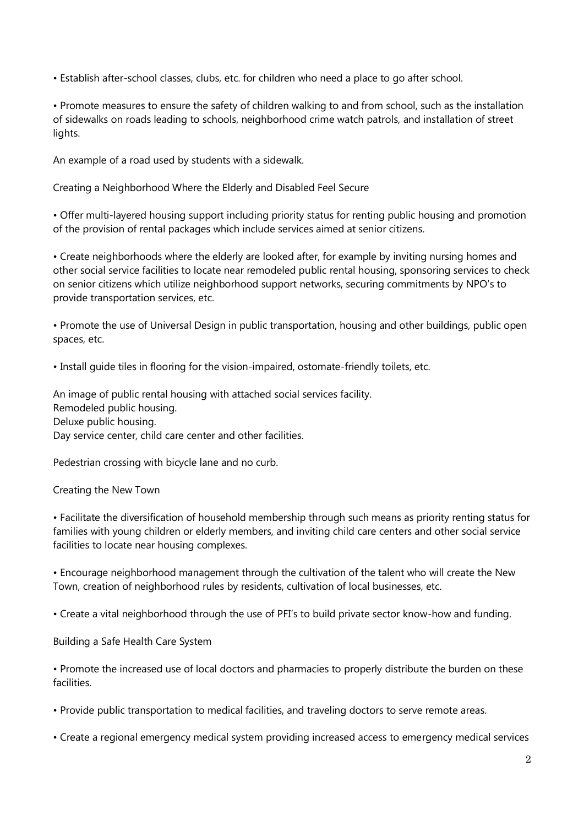• Establish after-school classes, clubs, etc. for children who need a place to go after school.

• Promote measures to ensure the safety of children walking to and from school, such as the installation of sidewalks on roads leading to schools, neighborhood crime watch patrols, and installation of street lights.

An example of a road used by students with a sidewalk.

Creating a Neighborhood Where the Elderly and Disabled Feel Secure

• Offer multi-layered housing support including priority status for renting public housing and promotion of the provision of rental packages which include services aimed at senior citizens.

• Create neighborhoods where the elderly are looked after, for example by inviting nursing homes and other social service facilities to locate near remodeled public rental housing, sponsoring services to check on senior citizens which utilize neighborhood support networks, securing commitments by NPO's to provide transportation services, etc.

• Promote the use of Universal Design in public transportation, housing and other buildings, public open spaces, etc.

• Install guide tiles in flooring for the vision-impaired, ostomate-friendly toilets, etc.

An image of public rental housing with attached social services facility. Remodeled public housing. Deluxe public housing. Day service center, child care center and other facilities.

Pedestrian crossing with bicycle lane and no curb.

#### Creating the New Town

• Facilitate the diversification of household membership through such means as priority renting status for families with young children or elderly members, and inviting child care centers and other social service facilities to locate near housing complexes.

• Encourage neighborhood management through the cultivation of the talent who will create the New Town, creation of neighborhood rules by residents, cultivation of local businesses, etc.

• Create a vital neighborhood through the use of PFI's to build private sector know-how and funding.

Building a Safe Health Care System

• Promote the increased use of local doctors and pharmacies to properly distribute the burden on these facilities.

• Provide public transportation to medical facilities, and traveling doctors to serve remote areas.

• Create a regional emergency medical system providing increased access to emergency medical services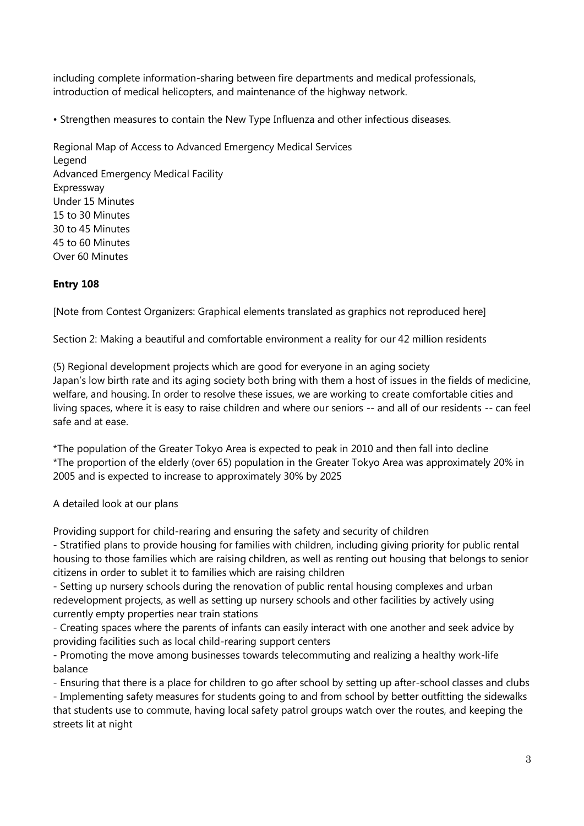including complete information-sharing between fire departments and medical professionals, introduction of medical helicopters, and maintenance of the highway network.

• Strengthen measures to contain the New Type Influenza and other infectious diseases.

Regional Map of Access to Advanced Emergency Medical Services Legend Advanced Emergency Medical Facility Expressway Under 15 Minutes 15 to 30 Minutes 30 to 45 Minutes 45 to 60 Minutes Over 60 Minutes

#### **Entry 108**

[Note from Contest Organizers: Graphical elements translated as graphics not reproduced here]

Section 2: Making a beautiful and comfortable environment a reality for our 42 million residents

(5) Regional development projects which are good for everyone in an aging society Japan's low birth rate and its aging society both bring with them a host of issues in the fields of medicine, welfare, and housing. In order to resolve these issues, we are working to create comfortable cities and living spaces, where it is easy to raise children and where our seniors -- and all of our residents -- can feel safe and at ease.

\*The population of the Greater Tokyo Area is expected to peak in 2010 and then fall into decline \*The proportion of the elderly (over 65) population in the Greater Tokyo Area was approximately 20% in 2005 and is expected to increase to approximately 30% by 2025

#### A detailed look at our plans

Providing support for child-rearing and ensuring the safety and security of children

- Stratified plans to provide housing for families with children, including giving priority for public rental housing to those families which are raising children, as well as renting out housing that belongs to senior citizens in order to sublet it to families which are raising children

- Setting up nursery schools during the renovation of public rental housing complexes and urban redevelopment projects, as well as setting up nursery schools and other facilities by actively using currently empty properties near train stations

- Creating spaces where the parents of infants can easily interact with one another and seek advice by providing facilities such as local child-rearing support centers

- Promoting the move among businesses towards telecommuting and realizing a healthy work-life balance

- Ensuring that there is a place for children to go after school by setting up after-school classes and clubs - Implementing safety measures for students going to and from school by better outfitting the sidewalks that students use to commute, having local safety patrol groups watch over the routes, and keeping the streets lit at night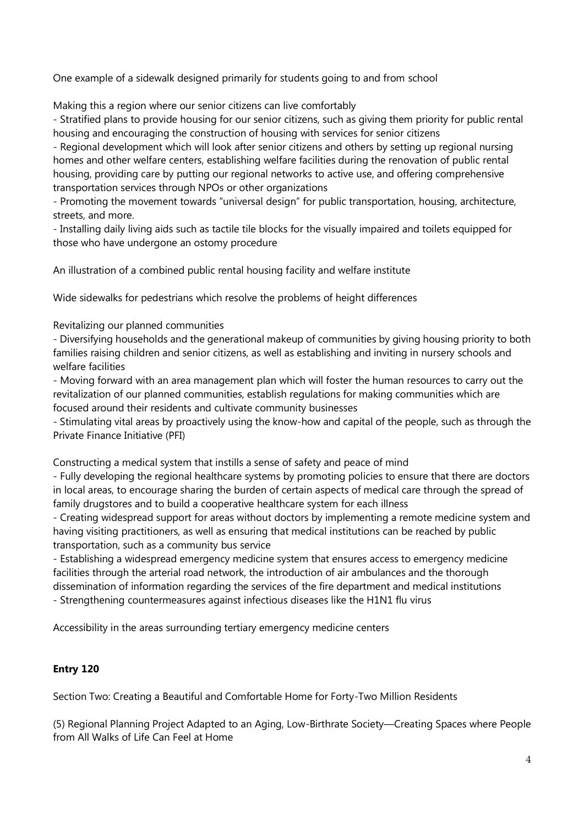One example of a sidewalk designed primarily for students going to and from school

Making this a region where our senior citizens can live comfortably

- Stratified plans to provide housing for our senior citizens, such as giving them priority for public rental housing and encouraging the construction of housing with services for senior citizens

- Regional development which will look after senior citizens and others by setting up regional nursing homes and other welfare centers, establishing welfare facilities during the renovation of public rental housing, providing care by putting our regional networks to active use, and offering comprehensive transportation services through NPOs or other organizations

- Promoting the movement towards "universal design" for public transportation, housing, architecture, streets, and more.

- Installing daily living aids such as tactile tile blocks for the visually impaired and toilets equipped for those who have undergone an ostomy procedure

An illustration of a combined public rental housing facility and welfare institute

Wide sidewalks for pedestrians which resolve the problems of height differences

Revitalizing our planned communities

- Diversifying households and the generational makeup of communities by giving housing priority to both families raising children and senior citizens, as well as establishing and inviting in nursery schools and welfare facilities

- Moving forward with an area management plan which will foster the human resources to carry out the revitalization of our planned communities, establish regulations for making communities which are focused around their residents and cultivate community businesses

- Stimulating vital areas by proactively using the know-how and capital of the people, such as through the Private Finance Initiative (PFI)

Constructing a medical system that instills a sense of safety and peace of mind

- Fully developing the regional healthcare systems by promoting policies to ensure that there are doctors in local areas, to encourage sharing the burden of certain aspects of medical care through the spread of family drugstores and to build a cooperative healthcare system for each illness

- Creating widespread support for areas without doctors by implementing a remote medicine system and having visiting practitioners, as well as ensuring that medical institutions can be reached by public transportation, such as a community bus service

- Establishing a widespread emergency medicine system that ensures access to emergency medicine facilities through the arterial road network, the introduction of air ambulances and the thorough dissemination of information regarding the services of the fire department and medical institutions - Strengthening countermeasures against infectious diseases like the H1N1 flu virus

Accessibility in the areas surrounding tertiary emergency medicine centers

## **Entry 120**

Section Two: Creating a Beautiful and Comfortable Home for Forty-Two Million Residents

(5) Regional Planning Project Adapted to an Aging, Low-Birthrate Society—Creating Spaces where People from All Walks of Life Can Feel at Home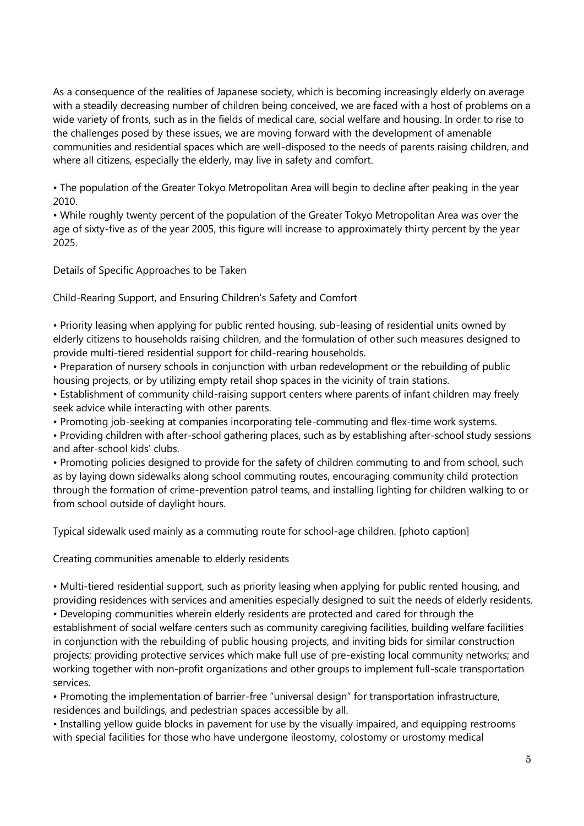As a consequence of the realities of Japanese society, which is becoming increasingly elderly on average with a steadily decreasing number of children being conceived, we are faced with a host of problems on a wide variety of fronts, such as in the fields of medical care, social welfare and housing. In order to rise to the challenges posed by these issues, we are moving forward with the development of amenable communities and residential spaces which are well-disposed to the needs of parents raising children, and where all citizens, especially the elderly, may live in safety and comfort.

• The population of the Greater Tokyo Metropolitan Area will begin to decline after peaking in the year 2010.

• While roughly twenty percent of the population of the Greater Tokyo Metropolitan Area was over the age of sixty-five as of the year 2005, this figure will increase to approximately thirty percent by the year 2025.

Details of Specific Approaches to be Taken

Child-Rearing Support, and Ensuring Children's Safety and Comfort

• Priority leasing when applying for public rented housing, sub-leasing of residential units owned by elderly citizens to households raising children, and the formulation of other such measures designed to provide multi-tiered residential support for child-rearing households.

• Preparation of nursery schools in conjunction with urban redevelopment or the rebuilding of public housing projects, or by utilizing empty retail shop spaces in the vicinity of train stations.

• Establishment of community child-raising support centers where parents of infant children may freely seek advice while interacting with other parents.

• Promoting job-seeking at companies incorporating tele-commuting and flex-time work systems.

• Providing children with after-school gathering places, such as by establishing after-school study sessions and after-school kids' clubs.

• Promoting policies designed to provide for the safety of children commuting to and from school, such as by laying down sidewalks along school commuting routes, encouraging community child protection through the formation of crime-prevention patrol teams, and installing lighting for children walking to or from school outside of daylight hours.

Typical sidewalk used mainly as a commuting route for school-age children. [photo caption]

Creating communities amenable to elderly residents

• Multi-tiered residential support, such as priority leasing when applying for public rented housing, and providing residences with services and amenities especially designed to suit the needs of elderly residents. • Developing communities wherein elderly residents are protected and cared for through the establishment of social welfare centers such as community caregiving facilities, building welfare facilities in conjunction with the rebuilding of public housing projects, and inviting bids for similar construction projects; providing protective services which make full use of pre-existing local community networks; and working together with non-profit organizations and other groups to implement full-scale transportation services.

• Promoting the implementation of barrier-free "universal design" for transportation infrastructure, residences and buildings, and pedestrian spaces accessible by all.

• Installing yellow guide blocks in pavement for use by the visually impaired, and equipping restrooms with special facilities for those who have undergone ileostomy, colostomy or urostomy medical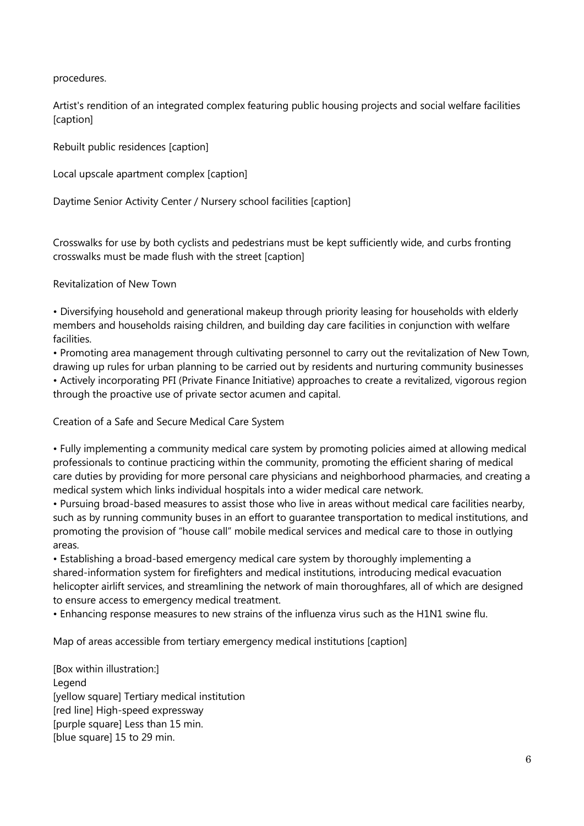procedures.

Artist's rendition of an integrated complex featuring public housing projects and social welfare facilities [caption]

Rebuilt public residences [caption]

Local upscale apartment complex [caption]

Daytime Senior Activity Center / Nursery school facilities [caption]

Crosswalks for use by both cyclists and pedestrians must be kept sufficiently wide, and curbs fronting crosswalks must be made flush with the street [caption]

Revitalization of New Town

• Diversifying household and generational makeup through priority leasing for households with elderly members and households raising children, and building day care facilities in conjunction with welfare facilities.

• Promoting area management through cultivating personnel to carry out the revitalization of New Town, drawing up rules for urban planning to be carried out by residents and nurturing community businesses • Actively incorporating PFI (Private Finance Initiative) approaches to create a revitalized, vigorous region through the proactive use of private sector acumen and capital.

Creation of a Safe and Secure Medical Care System

• Fully implementing a community medical care system by promoting policies aimed at allowing medical professionals to continue practicing within the community, promoting the efficient sharing of medical care duties by providing for more personal care physicians and neighborhood pharmacies, and creating a medical system which links individual hospitals into a wider medical care network.

• Pursuing broad-based measures to assist those who live in areas without medical care facilities nearby, such as by running community buses in an effort to guarantee transportation to medical institutions, and promoting the provision of "house call" mobile medical services and medical care to those in outlying areas.

• Establishing a broad-based emergency medical care system by thoroughly implementing a shared-information system for firefighters and medical institutions, introducing medical evacuation helicopter airlift services, and streamlining the network of main thoroughfares, all of which are designed to ensure access to emergency medical treatment.

• Enhancing response measures to new strains of the influenza virus such as the H1N1 swine flu.

Map of areas accessible from tertiary emergency medical institutions [caption]

[Box within illustration:] Legend [yellow square] Tertiary medical institution [red line] High-speed expressway [purple square] Less than 15 min. [blue square] 15 to 29 min.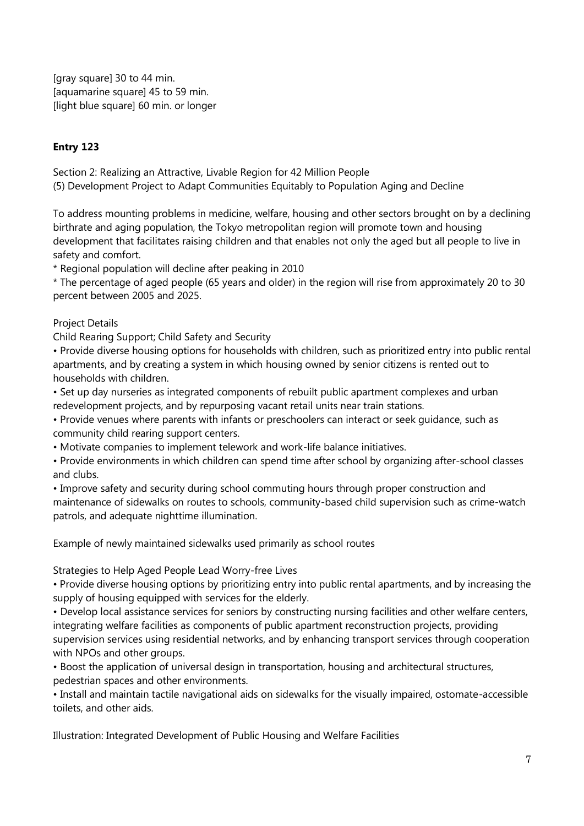[gray square] 30 to 44 min. [aquamarine square] 45 to 59 min. [light blue square] 60 min. or longer

## **Entry 123**

Section 2: Realizing an Attractive, Livable Region for 42 Million People

(5) Development Project to Adapt Communities Equitably to Population Aging and Decline

To address mounting problems in medicine, welfare, housing and other sectors brought on by a declining birthrate and aging population, the Tokyo metropolitan region will promote town and housing development that facilitates raising children and that enables not only the aged but all people to live in safety and comfort.

\* Regional population will decline after peaking in 2010

\* The percentage of aged people (65 years and older) in the region will rise from approximately 20 to 30 percent between 2005 and 2025.

Project Details

Child Rearing Support; Child Safety and Security

• Provide diverse housing options for households with children, such as prioritized entry into public rental apartments, and by creating a system in which housing owned by senior citizens is rented out to households with children.

• Set up day nurseries as integrated components of rebuilt public apartment complexes and urban redevelopment projects, and by repurposing vacant retail units near train stations.

• Provide venues where parents with infants or preschoolers can interact or seek guidance, such as community child rearing support centers.

• Motivate companies to implement telework and work-life balance initiatives.

• Provide environments in which children can spend time after school by organizing after-school classes and clubs.

• Improve safety and security during school commuting hours through proper construction and maintenance of sidewalks on routes to schools, community-based child supervision such as crime-watch patrols, and adequate nighttime illumination.

Example of newly maintained sidewalks used primarily as school routes

Strategies to Help Aged People Lead Worry-free Lives

• Provide diverse housing options by prioritizing entry into public rental apartments, and by increasing the supply of housing equipped with services for the elderly.

• Develop local assistance services for seniors by constructing nursing facilities and other welfare centers, integrating welfare facilities as components of public apartment reconstruction projects, providing supervision services using residential networks, and by enhancing transport services through cooperation with NPOs and other groups.

• Boost the application of universal design in transportation, housing and architectural structures, pedestrian spaces and other environments.

• Install and maintain tactile navigational aids on sidewalks for the visually impaired, ostomate-accessible toilets, and other aids.

Illustration: Integrated Development of Public Housing and Welfare Facilities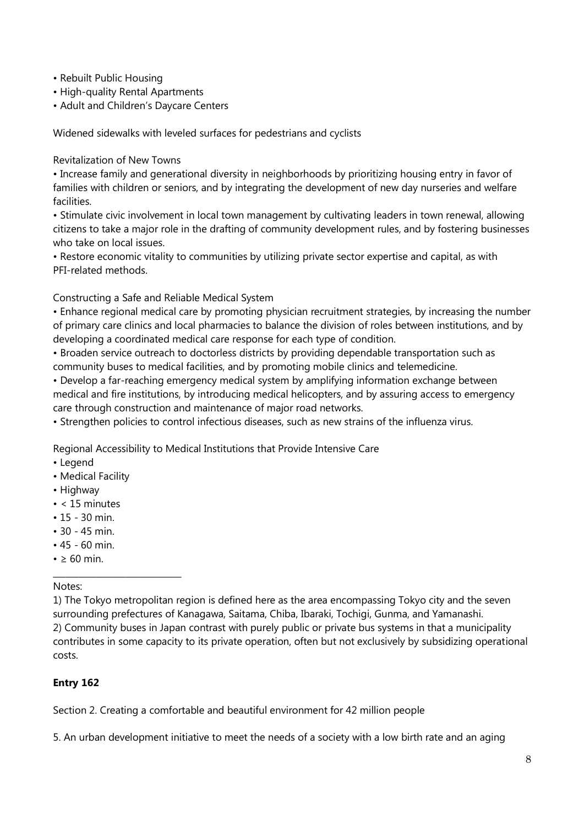- Rebuilt Public Housing
- High-quality Rental Apartments
- Adult and Children's Daycare Centers

Widened sidewalks with leveled surfaces for pedestrians and cyclists

Revitalization of New Towns

• Increase family and generational diversity in neighborhoods by prioritizing housing entry in favor of families with children or seniors, and by integrating the development of new day nurseries and welfare facilities.

• Stimulate civic involvement in local town management by cultivating leaders in town renewal, allowing citizens to take a major role in the drafting of community development rules, and by fostering businesses who take on local issues.

• Restore economic vitality to communities by utilizing private sector expertise and capital, as with PFI-related methods.

Constructing a Safe and Reliable Medical System

• Enhance regional medical care by promoting physician recruitment strategies, by increasing the number of primary care clinics and local pharmacies to balance the division of roles between institutions, and by developing a coordinated medical care response for each type of condition.

• Broaden service outreach to doctorless districts by providing dependable transportation such as community buses to medical facilities, and by promoting mobile clinics and telemedicine.

• Develop a far-reaching emergency medical system by amplifying information exchange between medical and fire institutions, by introducing medical helicopters, and by assuring access to emergency care through construction and maintenance of major road networks.

• Strengthen policies to control infectious diseases, such as new strains of the influenza virus.

Regional Accessibility to Medical Institutions that Provide Intensive Care

- Legend
- Medical Facility
- Highway
- < 15 minutes
- 15 30 min.
- 30 45 min.
- $45 60$  min.

\_\_\_\_\_\_\_\_\_\_\_\_\_\_\_\_\_\_\_\_\_\_\_\_\_\_\_\_\_\_

 $\cdot \geq 60$  min.

#### Notes:

1) The Tokyo metropolitan region is defined here as the area encompassing Tokyo city and the seven surrounding prefectures of Kanagawa, Saitama, Chiba, Ibaraki, Tochigi, Gunma, and Yamanashi. 2) Community buses in Japan contrast with purely public or private bus systems in that a municipality contributes in some capacity to its private operation, often but not exclusively by subsidizing operational costs.

## **Entry 162**

Section 2. Creating a comfortable and beautiful environment for 42 million people

5. An urban development initiative to meet the needs of a society with a low birth rate and an aging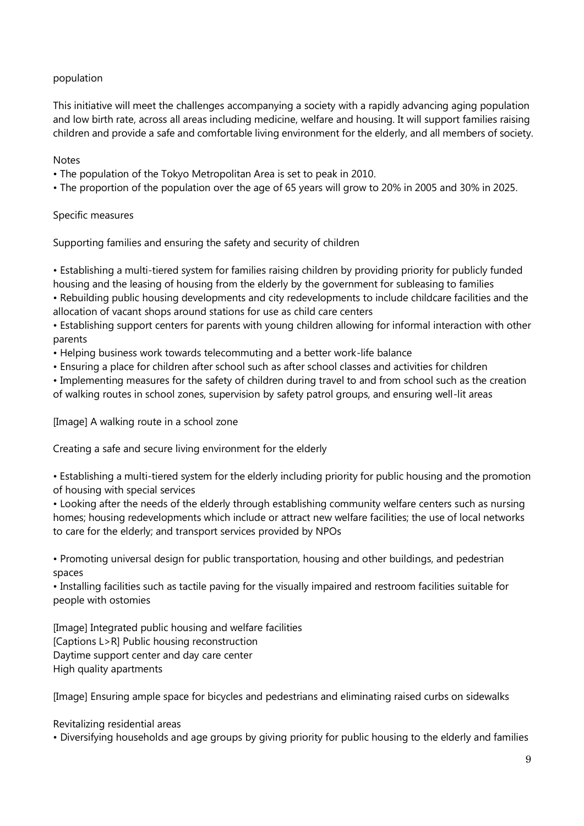### population

This initiative will meet the challenges accompanying a society with a rapidly advancing aging population and low birth rate, across all areas including medicine, welfare and housing. It will support families raising children and provide a safe and comfortable living environment for the elderly, and all members of society.

#### **Notes**

- The population of the Tokyo Metropolitan Area is set to peak in 2010.
- The proportion of the population over the age of 65 years will grow to 20% in 2005 and 30% in 2025.

#### Specific measures

Supporting families and ensuring the safety and security of children

• Establishing a multi-tiered system for families raising children by providing priority for publicly funded housing and the leasing of housing from the elderly by the government for subleasing to families

• Rebuilding public housing developments and city redevelopments to include childcare facilities and the allocation of vacant shops around stations for use as child care centers

• Establishing support centers for parents with young children allowing for informal interaction with other parents

• Helping business work towards telecommuting and a better work-life balance

• Ensuring a place for children after school such as after school classes and activities for children

• Implementing measures for the safety of children during travel to and from school such as the creation of walking routes in school zones, supervision by safety patrol groups, and ensuring well-lit areas

[Image] A walking route in a school zone

Creating a safe and secure living environment for the elderly

• Establishing a multi-tiered system for the elderly including priority for public housing and the promotion of housing with special services

• Looking after the needs of the elderly through establishing community welfare centers such as nursing homes; housing redevelopments which include or attract new welfare facilities; the use of local networks to care for the elderly; and transport services provided by NPOs

• Promoting universal design for public transportation, housing and other buildings, and pedestrian spaces

• Installing facilities such as tactile paving for the visually impaired and restroom facilities suitable for people with ostomies

[Image] Integrated public housing and welfare facilities [Captions L>R] Public housing reconstruction Daytime support center and day care center High quality apartments

[Image] Ensuring ample space for bicycles and pedestrians and eliminating raised curbs on sidewalks

Revitalizing residential areas

• Diversifying households and age groups by giving priority for public housing to the elderly and families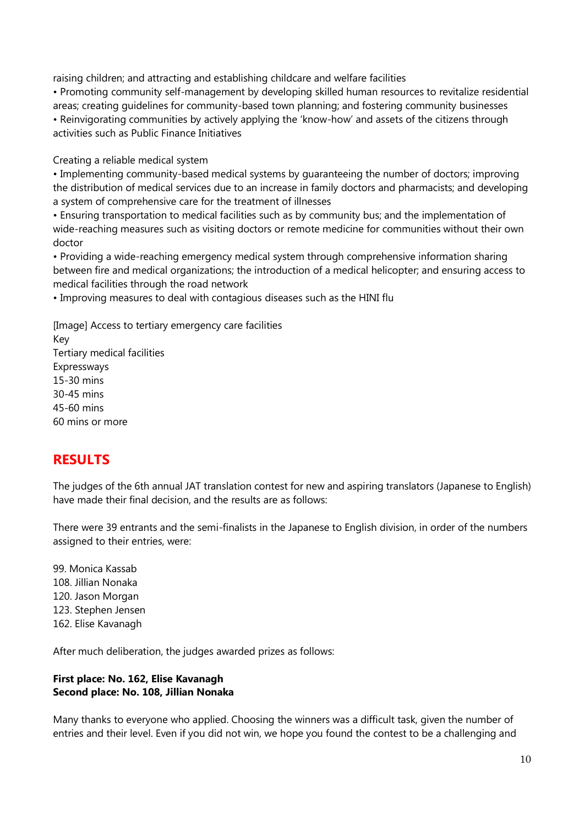raising children; and attracting and establishing childcare and welfare facilities

• Promoting community self-management by developing skilled human resources to revitalize residential areas; creating guidelines for community-based town planning; and fostering community businesses • Reinvigorating communities by actively applying the 'know-how' and assets of the citizens through activities such as Public Finance Initiatives

Creating a reliable medical system

• Implementing community-based medical systems by guaranteeing the number of doctors; improving the distribution of medical services due to an increase in family doctors and pharmacists; and developing a system of comprehensive care for the treatment of illnesses

• Ensuring transportation to medical facilities such as by community bus; and the implementation of wide-reaching measures such as visiting doctors or remote medicine for communities without their own doctor

• Providing a wide-reaching emergency medical system through comprehensive information sharing between fire and medical organizations; the introduction of a medical helicopter; and ensuring access to medical facilities through the road network

• Improving measures to deal with contagious diseases such as the HINI flu

[Image] Access to tertiary emergency care facilities Key Tertiary medical facilities Expressways 15-30 mins 30-45 mins 45-60 mins 60 mins or more

# **RESULTS**

The judges of the 6th annual JAT translation contest for new and aspiring translators (Japanese to English) have made their final decision, and the results are as follows:

There were 39 entrants and the semi-finalists in the Japanese to English division, in order of the numbers assigned to their entries, were:

99. Monica Kassab 108. Jillian Nonaka 120. Jason Morgan 123. Stephen Jensen 162. Elise Kavanagh

After much deliberation, the judges awarded prizes as follows:

## **First place: No. 162, Elise Kavanagh Second place: No. 108, Jillian Nonaka**

Many thanks to everyone who applied. Choosing the winners was a difficult task, given the number of entries and their level. Even if you did not win, we hope you found the contest to be a challenging and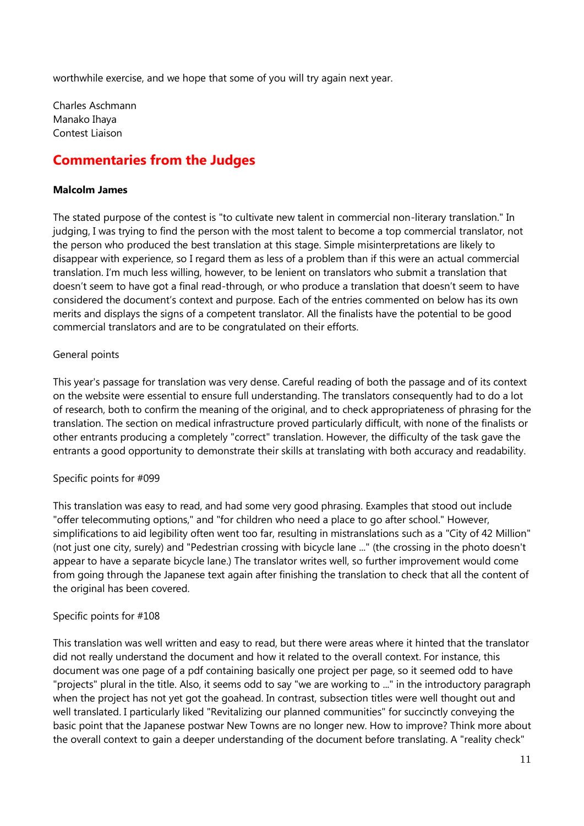worthwhile exercise, and we hope that some of you will try again next year.

Charles Aschmann Manako Ihaya Contest Liaison

## **Commentaries from the Judges**

#### **Malcolm James**

The stated purpose of the contest is "to cultivate new talent in commercial non-literary translation." In judging, I was trying to find the person with the most talent to become a top commercial translator, not the person who produced the best translation at this stage. Simple misinterpretations are likely to disappear with experience, so I regard them as less of a problem than if this were an actual commercial translation. I'm much less willing, however, to be lenient on translators who submit a translation that doesn't seem to have got a final read-through, or who produce a translation that doesn't seem to have considered the document's context and purpose. Each of the entries commented on below has its own merits and displays the signs of a competent translator. All the finalists have the potential to be good commercial translators and are to be congratulated on their efforts.

#### General points

This year's passage for translation was very dense. Careful reading of both the passage and of its context on the website were essential to ensure full understanding. The translators consequently had to do a lot of research, both to confirm the meaning of the original, and to check appropriateness of phrasing for the translation. The section on medical infrastructure proved particularly difficult, with none of the finalists or other entrants producing a completely "correct" translation. However, the difficulty of the task gave the entrants a good opportunity to demonstrate their skills at translating with both accuracy and readability.

#### Specific points for #099

This translation was easy to read, and had some very good phrasing. Examples that stood out include "offer telecommuting options," and "for children who need a place to go after school." However, simplifications to aid legibility often went too far, resulting in mistranslations such as a "City of 42 Million" (not just one city, surely) and "Pedestrian crossing with bicycle lane ..." (the crossing in the photo doesn't appear to have a separate bicycle lane.) The translator writes well, so further improvement would come from going through the Japanese text again after finishing the translation to check that all the content of the original has been covered.

#### Specific points for #108

This translation was well written and easy to read, but there were areas where it hinted that the translator did not really understand the document and how it related to the overall context. For instance, this document was one page of a pdf containing basically one project per page, so it seemed odd to have "projects" plural in the title. Also, it seems odd to say "we are working to ..." in the introductory paragraph when the project has not yet got the goahead. In contrast, subsection titles were well thought out and well translated. I particularly liked "Revitalizing our planned communities" for succinctly conveying the basic point that the Japanese postwar New Towns are no longer new. How to improve? Think more about the overall context to gain a deeper understanding of the document before translating. A "reality check"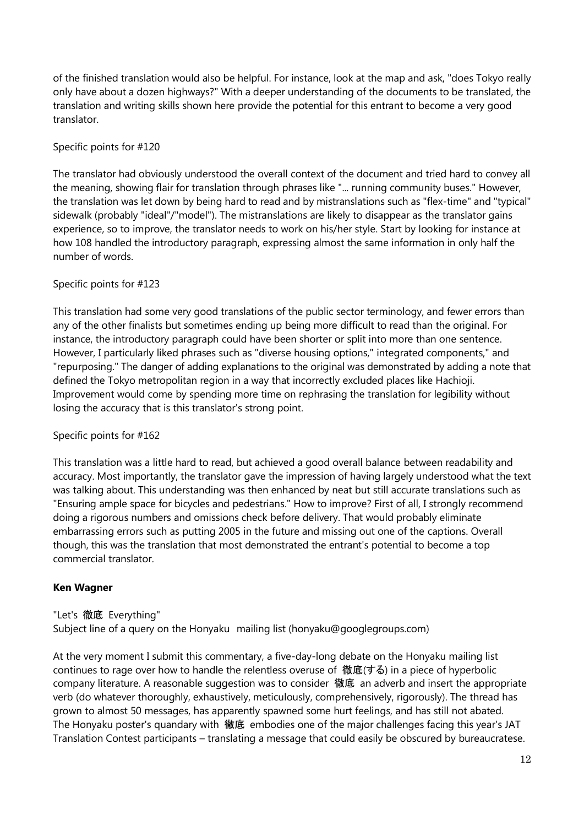of the finished translation would also be helpful. For instance, look at the map and ask, "does Tokyo really only have about a dozen highways?" With a deeper understanding of the documents to be translated, the translation and writing skills shown here provide the potential for this entrant to become a very good translator.

## Specific points for #120

The translator had obviously understood the overall context of the document and tried hard to convey all the meaning, showing flair for translation through phrases like "... running community buses." However, the translation was let down by being hard to read and by mistranslations such as "flex-time" and "typical" sidewalk (probably "ideal"/"model"). The mistranslations are likely to disappear as the translator gains experience, so to improve, the translator needs to work on his/her style. Start by looking for instance at how 108 handled the introductory paragraph, expressing almost the same information in only half the number of words.

## Specific points for #123

This translation had some very good translations of the public sector terminology, and fewer errors than any of the other finalists but sometimes ending up being more difficult to read than the original. For instance, the introductory paragraph could have been shorter or split into more than one sentence. However, I particularly liked phrases such as "diverse housing options," integrated components," and "repurposing." The danger of adding explanations to the original was demonstrated by adding a note that defined the Tokyo metropolitan region in a way that incorrectly excluded places like Hachioji. Improvement would come by spending more time on rephrasing the translation for legibility without losing the accuracy that is this translator's strong point.

## Specific points for #162

This translation was a little hard to read, but achieved a good overall balance between readability and accuracy. Most importantly, the translator gave the impression of having largely understood what the text was talking about. This understanding was then enhanced by neat but still accurate translations such as "Ensuring ample space for bicycles and pedestrians." How to improve? First of all, I strongly recommend doing a rigorous numbers and omissions check before delivery. That would probably eliminate embarrassing errors such as putting 2005 in the future and missing out one of the captions. Overall though, this was the translation that most demonstrated the entrant's potential to become a top commercial translator.

## **Ken Wagner**

#### "Let's 徹底 Everything"

Subject line of a query on the Honyaku mailing list (honyaku@googlegroups.com)

At the very moment I submit this commentary, a five-day-long debate on the Honyaku mailing list continues to rage over how to handle the relentless overuse of 徹底(する) in a piece of hyperbolic company literature. A reasonable suggestion was to consider 徹底 an adverb and insert the appropriate verb (do whatever thoroughly, exhaustively, meticulously, comprehensively, rigorously). The thread has grown to almost 50 messages, has apparently spawned some hurt feelings, and has still not abated. The Honyaku poster's quandary with 徹底 embodies one of the major challenges facing this year's JAT Translation Contest participants – translating a message that could easily be obscured by bureaucratese.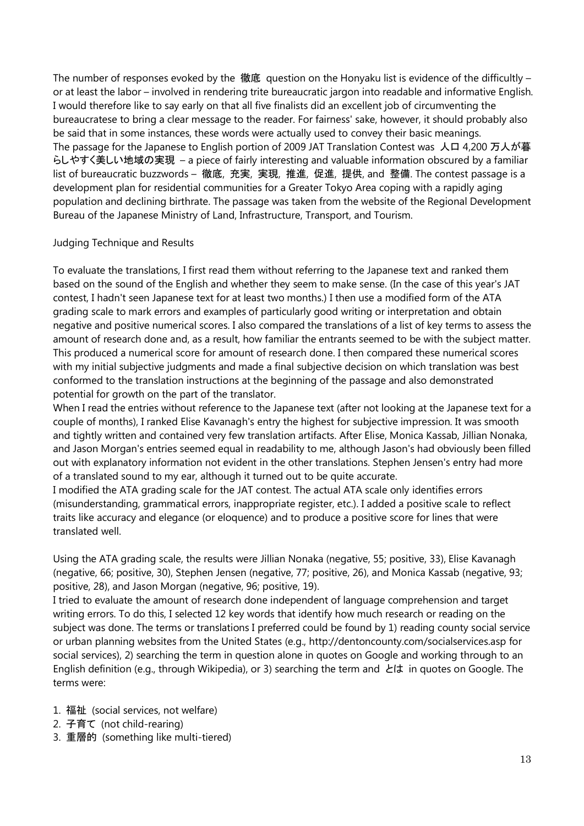The number of responses evoked by the 徹底 question on the Honyaku list is evidence of the difficultly – or at least the labor – involved in rendering trite bureaucratic jargon into readable and informative English. I would therefore like to say early on that all five finalists did an excellent job of circumventing the bureaucratese to bring a clear message to the reader. For fairness' sake, however, it should probably also be said that in some instances, these words were actually used to convey their basic meanings. The passage for the Japanese to English portion of 2009 JAT Translation Contest was 人口 4,200 万人が暮 らしやすく美しい地域の実現 – a piece of fairly interesting and valuable information obscured by a familiar list of bureaucratic buzzwords – 徹底, 充実, 実現, 推進, 促進, 提供, and 整備. The contest passage is a development plan for residential communities for a Greater Tokyo Area coping with a rapidly aging population and declining birthrate. The passage was taken from the website of the Regional Development Bureau of the Japanese Ministry of Land, Infrastructure, Transport, and Tourism.

#### Judging Technique and Results

To evaluate the translations, I first read them without referring to the Japanese text and ranked them based on the sound of the English and whether they seem to make sense. (In the case of this year's JAT contest, I hadn't seen Japanese text for at least two months.) I then use a modified form of the ATA grading scale to mark errors and examples of particularly good writing or interpretation and obtain negative and positive numerical scores. I also compared the translations of a list of key terms to assess the amount of research done and, as a result, how familiar the entrants seemed to be with the subject matter. This produced a numerical score for amount of research done. I then compared these numerical scores with my initial subjective judgments and made a final subjective decision on which translation was best conformed to the translation instructions at the beginning of the passage and also demonstrated potential for growth on the part of the translator.

When I read the entries without reference to the Japanese text (after not looking at the Japanese text for a couple of months), I ranked Elise Kavanagh's entry the highest for subjective impression. It was smooth and tightly written and contained very few translation artifacts. After Elise, Monica Kassab, Jillian Nonaka, and Jason Morgan's entries seemed equal in readability to me, although Jason's had obviously been filled out with explanatory information not evident in the other translations. Stephen Jensen's entry had more of a translated sound to my ear, although it turned out to be quite accurate.

I modified the ATA grading scale for the JAT contest. The actual ATA scale only identifies errors (misunderstanding, grammatical errors, inappropriate register, etc.). I added a positive scale to reflect traits like accuracy and elegance (or eloquence) and to produce a positive score for lines that were translated well.

Using the ATA grading scale, the results were Jillian Nonaka (negative, 55; positive, 33), Elise Kavanagh (negative, 66; positive, 30), Stephen Jensen (negative, 77; positive, 26), and Monica Kassab (negative, 93; positive, 28), and Jason Morgan (negative, 96; positive, 19).

I tried to evaluate the amount of research done independent of language comprehension and target writing errors. To do this, I selected 12 key words that identify how much research or reading on the subject was done. The terms or translations I preferred could be found by 1) reading county social service or urban planning websites from the United States (e.g., http://dentoncounty.com/socialservices.asp for social services), 2) searching the term in question alone in quotes on Google and working through to an English definition (e.g., through Wikipedia), or 3) searching the term and とは in quotes on Google. The terms were:

- 1. 福祉 (social services, not welfare)
- 2. 子育て (not child-rearing)
- 3. 重層的 (something like multi-tiered)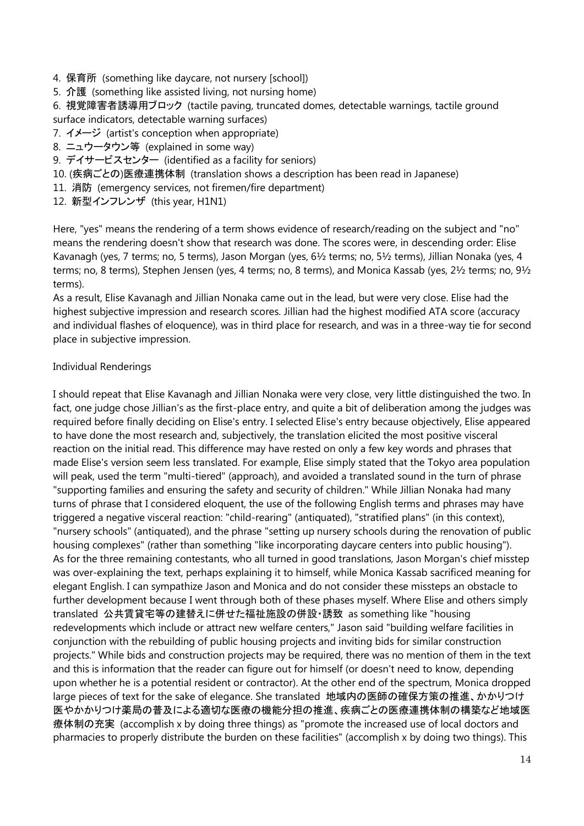- 4. 保育所 (something like daycare, not nursery [school])
- 5. 介護 (something like assisted living, not nursing home)

6. 視覚障害者誘導用ブロック (tactile paving, truncated domes, detectable warnings, tactile ground surface indicators, detectable warning surfaces)

- 7. イメージ (artist's conception when appropriate)
- 8. ニュウータウン等 (explained in some way)
- 9. デイサービスセンター (identified as a facility for seniors)
- 10. (疾病ごとの)医療連携体制 (translation shows a description has been read in Japanese)
- 11. 消防 (emergency services, not firemen/fire department)
- 12. 新型インフレンザ (this year, H1N1)

Here, "yes" means the rendering of a term shows evidence of research/reading on the subject and "no" means the rendering doesn't show that research was done. The scores were, in descending order: Elise Kavanagh (yes, 7 terms; no, 5 terms), Jason Morgan (yes, 6½ terms; no, 5½ terms), Jillian Nonaka (yes, 4 terms; no, 8 terms), Stephen Jensen (yes, 4 terms; no, 8 terms), and Monica Kassab (yes, 2½ terms; no, 9½ terms).

As a result, Elise Kavanagh and Jillian Nonaka came out in the lead, but were very close. Elise had the highest subjective impression and research scores. Jillian had the highest modified ATA score (accuracy and individual flashes of eloquence), was in third place for research, and was in a three-way tie for second place in subjective impression.

#### Individual Renderings

I should repeat that Elise Kavanagh and Jillian Nonaka were very close, very little distinguished the two. In fact, one judge chose Jillian's as the first-place entry, and quite a bit of deliberation among the judges was required before finally deciding on Elise's entry. I selected Elise's entry because objectively, Elise appeared to have done the most research and, subjectively, the translation elicited the most positive visceral reaction on the initial read. This difference may have rested on only a few key words and phrases that made Elise's version seem less translated. For example, Elise simply stated that the Tokyo area population will peak, used the term "multi-tiered" (approach), and avoided a translated sound in the turn of phrase "supporting families and ensuring the safety and security of children." While Jillian Nonaka had many turns of phrase that I considered eloquent, the use of the following English terms and phrases may have triggered a negative visceral reaction: "child-rearing" (antiquated), "stratified plans" (in this context), "nursery schools" (antiquated), and the phrase "setting up nursery schools during the renovation of public housing complexes" (rather than something "like incorporating daycare centers into public housing"). As for the three remaining contestants, who all turned in good translations, Jason Morgan's chief misstep was over-explaining the text, perhaps explaining it to himself, while Monica Kassab sacrificed meaning for elegant English. I can sympathize Jason and Monica and do not consider these missteps an obstacle to further development because I went through both of these phases myself. Where Elise and others simply translated 公共賃貸宅等の建替えに併せた福祉施設の併設・誘致 as something like "housing redevelopments which include or attract new welfare centers," Jason said "building welfare facilities in conjunction with the rebuilding of public housing projects and inviting bids for similar construction projects." While bids and construction projects may be required, there was no mention of them in the text and this is information that the reader can figure out for himself (or doesn't need to know, depending upon whether he is a potential resident or contractor). At the other end of the spectrum, Monica dropped large pieces of text for the sake of elegance. She translated 地域内の医師の確保方策の推進、かかりつけ 医やかかりつけ薬局の普及による適切な医療の機能分担の推進、疾病ごとの医療連携体制の構築など地域医 療体制の充実 (accomplish x by doing three things) as "promote the increased use of local doctors and pharmacies to properly distribute the burden on these facilities" (accomplish x by doing two things). This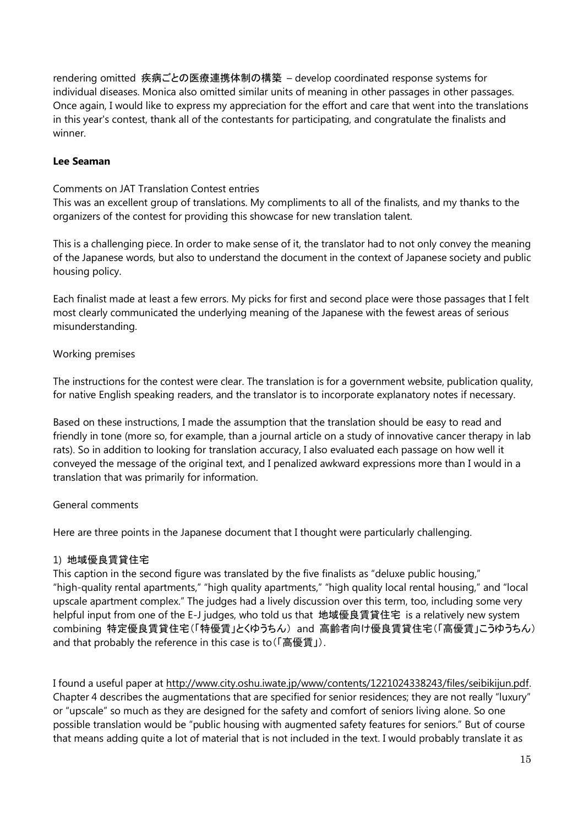rendering omitted 疾病ごとの医療連携体制の構築 – develop coordinated response systems for individual diseases. Monica also omitted similar units of meaning in other passages in other passages. Once again, I would like to express my appreciation for the effort and care that went into the translations in this year's contest, thank all of the contestants for participating, and congratulate the finalists and winner.

#### **Lee Seaman**

Comments on JAT Translation Contest entries

This was an excellent group of translations. My compliments to all of the finalists, and my thanks to the organizers of the contest for providing this showcase for new translation talent.

This is a challenging piece. In order to make sense of it, the translator had to not only convey the meaning of the Japanese words, but also to understand the document in the context of Japanese society and public housing policy.

Each finalist made at least a few errors. My picks for first and second place were those passages that I felt most clearly communicated the underlying meaning of the Japanese with the fewest areas of serious misunderstanding.

#### Working premises

The instructions for the contest were clear. The translation is for a government website, publication quality, for native English speaking readers, and the translator is to incorporate explanatory notes if necessary.

Based on these instructions, I made the assumption that the translation should be easy to read and friendly in tone (more so, for example, than a journal article on a study of innovative cancer therapy in lab rats). So in addition to looking for translation accuracy, I also evaluated each passage on how well it conveyed the message of the original text, and I penalized awkward expressions more than I would in a translation that was primarily for information.

## General comments

Here are three points in the Japanese document that I thought were particularly challenging.

## 1) 地域優良賃貸住宅

This caption in the second figure was translated by the five finalists as "deluxe public housing," "high-quality rental apartments," "high quality apartments," "high quality local rental housing," and "local upscale apartment complex." The judges had a lively discussion over this term, too, including some very helpful input from one of the E-J judges, who told us that 地域優良賃貸住宅 is a relatively new system combining 特定優良賃貸住宅(「特優賃」とくゆうちん) and 高齢者向け優良賃貸住宅(「高優賃」こうゆうちん) and that probably the reference in this case is to(「高優賃」).

I found a useful paper at [http://www.city.oshu.iwate.jp/www/contents/1221024338243/files/seibikijun.pdf.](http://www.city.oshu.iwate.jp/www/contents/1221024338243/files/seibikijun.pdf) Chapter 4 describes the augmentations that are specified for senior residences; they are not really "luxury" or "upscale" so much as they are designed for the safety and comfort of seniors living alone. So one possible translation would be "public housing with augmented safety features for seniors." But of course that means adding quite a lot of material that is not included in the text. I would probably translate it as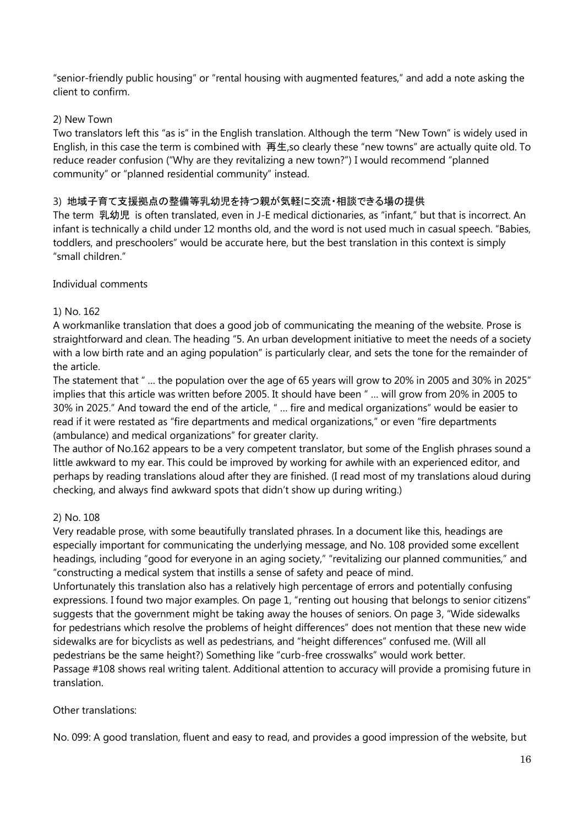"senior-friendly public housing" or "rental housing with augmented features," and add a note asking the client to confirm.

## 2) New Town

Two translators left this "as is" in the English translation. Although the term "New Town" is widely used in English, in this case the term is combined with 再生, so clearly these "new towns" are actually quite old. To reduce reader confusion ("Why are they revitalizing a new town?") I would recommend "planned community" or "planned residential community" instead.

## 3) 地域子育て支援拠点の整備等乳幼児を持つ親が気軽に交流・相談できる場の提供

The term 乳幼児 is often translated, even in J-E medical dictionaries, as "infant," but that is incorrect. An infant is technically a child under 12 months old, and the word is not used much in casual speech. "Babies, toddlers, and preschoolers" would be accurate here, but the best translation in this context is simply "small children."

#### Individual comments

## 1) No. 162

A workmanlike translation that does a good job of communicating the meaning of the website. Prose is straightforward and clean. The heading "5. An urban development initiative to meet the needs of a society with a low birth rate and an aging population" is particularly clear, and sets the tone for the remainder of the article.

The statement that " ... the population over the age of 65 years will grow to 20% in 2005 and 30% in 2025" implies that this article was written before 2005. It should have been " ... will grow from 20% in 2005 to 30% in 2025." And toward the end of the article, " ... fire and medical organizations" would be easier to read if it were restated as "fire departments and medical organizations," or even "fire departments (ambulance) and medical organizations" for greater clarity.

The author of No.162 appears to be a very competent translator, but some of the English phrases sound a little awkward to my ear. This could be improved by working for awhile with an experienced editor, and perhaps by reading translations aloud after they are finished. (I read most of my translations aloud during checking, and always find awkward spots that didn't show up during writing.)

## 2) No. 108

Very readable prose, with some beautifully translated phrases. In a document like this, headings are especially important for communicating the underlying message, and No. 108 provided some excellent headings, including "good for everyone in an aging society," "revitalizing our planned communities," and "constructing a medical system that instills a sense of safety and peace of mind.

Unfortunately this translation also has a relatively high percentage of errors and potentially confusing expressions. I found two major examples. On page 1, "renting out housing that belongs to senior citizens" suggests that the government might be taking away the houses of seniors. On page 3, "Wide sidewalks for pedestrians which resolve the problems of height differences" does not mention that these new wide sidewalks are for bicyclists as well as pedestrians, and "height differences" confused me. (Will all pedestrians be the same height?) Something like "curb-free crosswalks" would work better. Passage #108 shows real writing talent. Additional attention to accuracy will provide a promising future in translation.

Other translations:

No. 099: A good translation, fluent and easy to read, and provides a good impression of the website, but